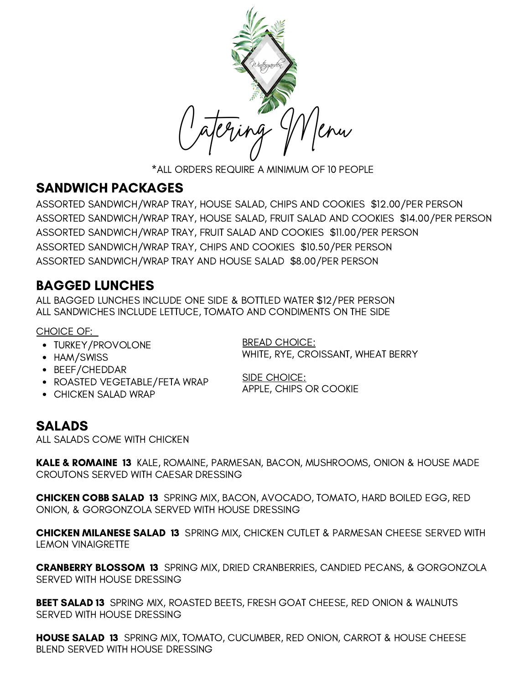

\*ALL ORDERS REQUIRE A MINIMUM OF 10 PEOPLE

## SANDWICH PACKAGES

ASSORTED SANDWICH/WRAP TRAY, HOUSE SALAD, CHIPS AND COOKIES \$12.00/PER PERSON ASSORTED SANDWICH/WRAP TRAY, HOUSE SALAD, FRUIT SALAD AND COOKIES \$14.00/PER PERSON ASSORTED SANDWICH/WRAP TRAY, FRUIT SALAD AND COOKIES \$11.00/PER PERSON ASSORTED SANDWICH/WRAP TRAY, CHIPS AND COOKIES \$10.50/PER PERSON ASSORTED SANDWICH/WRAP TRAY AND HOUSE SALAD \$8.00/PER PERSON

## BAGGED LUNCHES

ALL BAGGED LUNCHES INCLUDE ONE SIDE & BOTTLED WATER \$12/PER PERSON ALL SANDWICHES INCLUDE LETTUCE, TOMATO AND CONDIMENTS ON THE SIDE

#### CHOICE OF:

- TURKEY/PROVOLONE
- HAM/SWISS
- BEEF/CHEDDAR
- ROASTED VEGETABLE/FETA WRAP
- CHICKEN SALAD WRAP

BREAD CHOICE: WHITE, RYE, CROISSANT, WHEAT BERRY

SIDE CHOICE: APPLE, CHIPS OR COOKIE

# SALADS

ALL SALADS COME WITH CHICKEN

KALE & ROMAINE 13 KALE, ROMAINE, PARMESAN, BACON, MUSHROOMS, ONION & HOUSE MADE CROUTONS SERVED WITH CAESAR DRESSING

CHICKEN COBB SALAD 13 SPRING MIX, BACON, AVOCADO, TOMATO, HARD BOILED EGG, RED ONION, & GORGONZOLA SERVED WITH HOUSE DRESSING

CHICKEN MILANESE SALAD 13 SPRING MIX, CHICKEN CUTLET & PARMESAN CHEESE SERVED WITH LEMON VINAIGRETTE

CRANBERRY BLOSSOM 13 SPRING MIX, DRIED CRANBERRIES, CANDIED PECANS, & GORGONZOLA SERVED WITH HOUSE DRESSING

BEET SALAD 13 SPRING MIX, ROASTED BEETS, FRESH GOAT CHEESE, RED ONION & WALNUTS SERVED WITH HOUSE DRESSING

HOUSE SALAD 13 SPRING MIX, TOMATO, CUCUMBER, RED ONION, CARROT & HOUSE CHEESE BLEND SERVED WITH HOUSE DRESSING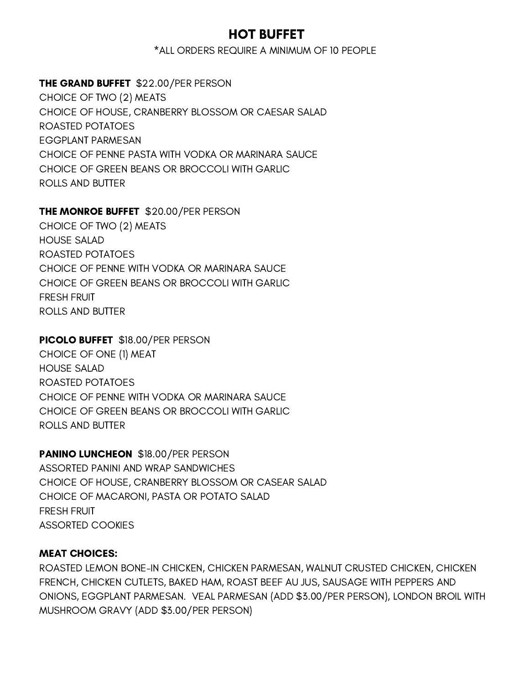### HOT BUFFET

\*ALL ORDERS REQUIRE A MINIMUM OF 10 PEOPLE

#### THE GRAND BUFFET \$22.00/PER PERSON

CHOICE OF TWO (2) MEATS CHOICE OF HOUSE, CRANBERRY BLOSSOM OR CAESAR SALAD ROASTED POTATOES EGGPLANT PARMESAN CHOICE OF PENNE PASTA WITH VODKA OR MARINARA SAUCE CHOICE OF GREEN BEANS OR BROCCOLI WITH GARLIC ROLLS AND BUTTER

#### THE MONROE BUFFET \$20.00/PER PERSON

CHOICE OF TWO (2) MEATS HOUSE SALAD ROASTED POTATOES CHOICE OF PENNE WITH VODKA OR MARINARA SAUCE CHOICE OF GREEN BEANS OR BROCCOLI WITH GARLIC FRESH FRUIT ROLLS AND BUTTER

#### PICOLO BUFFET \$18.00/PER PERSON

CHOICE OF ONE (1) MEAT HOUSE SALAD ROASTED POTATOES CHOICE OF PENNE WITH VODKA OR MARINARA SAUCE CHOICE OF GREEN BEANS OR BROCCOLI WITH GARLIC ROLLS AND BUTTER

PANINO LUNCHEON \$18.00/PER PERSON ASSORTED PANINI AND WRAP SANDWICHES CHOICE OF HOUSE, CRANBERRY BLOSSOM OR CASEAR SALAD CHOICE OF MACARONI, PASTA OR POTATO SALAD FRESH FRUIT ASSORTED COOKIES

#### MEAT CHOICES:

ROASTED LEMON BONE-IN CHICKEN, CHICKEN PARMESAN, WALNUT CRUSTED CHICKEN, CHICKEN FRENCH, CHICKEN CUTLETS, BAKED HAM, ROAST BEEF AU JUS, SAUSAGE WITH PEPPERS AND ONIONS, EGGPLANT PARMESAN. VEAL PARMESAN (ADD \$3.00/PER PERSON), LONDON BROIL WITH MUSHROOM GRAVY (ADD \$3.00/PER PERSON)